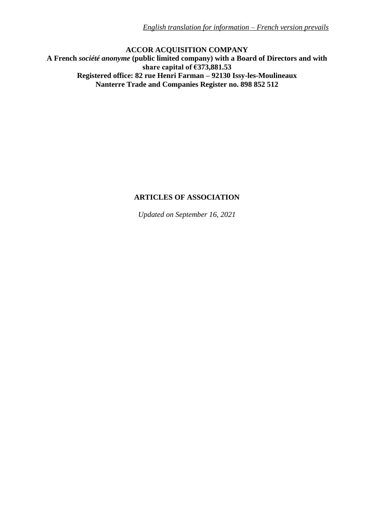**ACCOR ACQUISITION COMPANY A French** *société anonyme* **(public limited company) with a Board of Directors and with share capital of €373,881.53 Registered office: 82 rue Henri Farman – 92130 Issy-les-Moulineaux Nanterre Trade and Companies Register no. 898 852 512**

# **ARTICLES OF ASSOCIATION**

*Updated on September 16, 2021*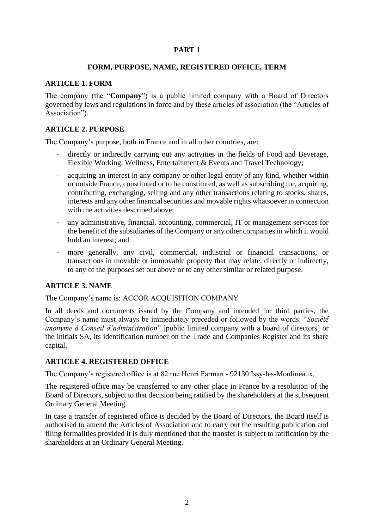# **PART 1**

#### **FORM, PURPOSE, NAME, REGISTERED OFFICE, TERM**

#### **ARTICLE 1. FORM**

The company (the "**Company**") is a public limited company with a Board of Directors governed by laws and regulations in force and by these articles of association (the "Articles of Association").

# **ARTICLE 2. PURPOSE**

The Company's purpose, both in France and in all other countries, are:

- directly or indirectly carrying out any activities in the fields of Food and Beverage, Flexible Working, Wellness, Entertainment & Events and Travel Technology;
- acquiring an interest in any company or other legal entity of any kind, whether within or outside France, constituted or to be constituted, as well as subscribing for, acquiring, contributing, exchanging, selling and any other transactions relating to stocks, shares, interests and any other financial securities and movable rights whatsoever in connection with the activities described above;
- any administrative, financial, accounting, commercial, IT or management services for the benefit of the subsidiaries of the Company or any other companies in which it would hold an interest; and
- more generally, any civil, commercial, industrial or financial transactions, or transactions in movable or immovable property that may relate, directly or indirectly, to any of the purposes set out above or to any other similar or related purpose.

# **ARTICLE 3. NAME**

The Company's name is: ACCOR ACQUISITION COMPANY

In all deeds and documents issued by the Company and intended for third parties, the Company's name must always be immediately preceded or followed by the words: "*Société anonyme à Conseil d'administration*" [public limited company with a board of directors] or the initials SA, its identification number on the Trade and Companies Register and its share capital.

# **ARTICLE 4. REGISTERED OFFICE**

The Company's registered office is at 82 rue Henri Farman - 92130 Issy-les-Moulineaux.

The registered office may be transferred to any other place in France by a resolution of the Board of Directors, subject to that decision being ratified by the shareholders at the subsequent Ordinary General Meeting.

In case a transfer of registered office is decided by the Board of Directors, the Board itself is authorised to amend the Articles of Association and to carry out the resulting publication and filing formalities provided it is duly mentioned that the transfer is subject to ratification by the shareholders at an Ordinary General Meeting.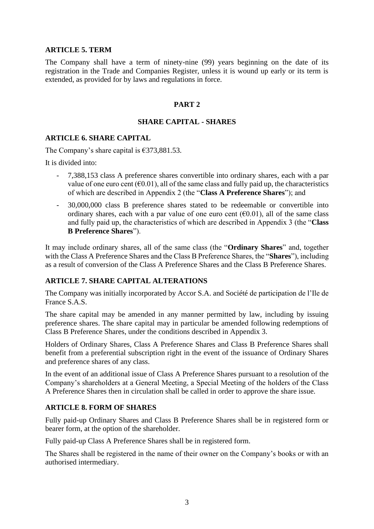#### **ARTICLE 5. TERM**

The Company shall have a term of ninety-nine (99) years beginning on the date of its registration in the Trade and Companies Register, unless it is wound up early or its term is extended, as provided for by laws and regulations in force.

#### **PART 2**

#### **SHARE CAPITAL - SHARES**

#### **ARTICLE 6. SHARE CAPITAL**

The Company's share capital is  $\epsilon$ 373,881.53.

It is divided into:

- 7,388,153 class A preference shares convertible into ordinary shares, each with a par value of one euro cent ( $\epsilon$ 0.01), all of the same class and fully paid up, the characteristics of which are described in Appendix 2 (the "**Class A Preference Shares**"); and
- 30,000,000 class B preference shares stated to be redeemable or convertible into ordinary shares, each with a par value of one euro cent  $(60.01)$ , all of the same class and fully paid up, the characteristics of which are described in Appendix 3 (the "**Class B Preference Shares**").

It may include ordinary shares, all of the same class (the "**Ordinary Shares**" and, together with the Class A Preference Shares and the Class B Preference Shares, the "**Shares**"), including as a result of conversion of the Class A Preference Shares and the Class B Preference Shares.

#### **ARTICLE 7. SHARE CAPITAL ALTERATIONS**

The Company was initially incorporated by Accor S.A. and Société de participation de l'Ile de France S.A.S.

The share capital may be amended in any manner permitted by law, including by issuing preference shares. The share capital may in particular be amended following redemptions of Class B Preference Shares, under the conditions described in Appendix 3.

Holders of Ordinary Shares, Class A Preference Shares and Class B Preference Shares shall benefit from a preferential subscription right in the event of the issuance of Ordinary Shares and preference shares of any class.

In the event of an additional issue of Class A Preference Shares pursuant to a resolution of the Company's shareholders at a General Meeting, a Special Meeting of the holders of the Class A Preference Shares then in circulation shall be called in order to approve the share issue.

#### **ARTICLE 8. FORM OF SHARES**

Fully paid-up Ordinary Shares and Class B Preference Shares shall be in registered form or bearer form, at the option of the shareholder.

Fully paid-up Class A Preference Shares shall be in registered form.

The Shares shall be registered in the name of their owner on the Company's books or with an authorised intermediary.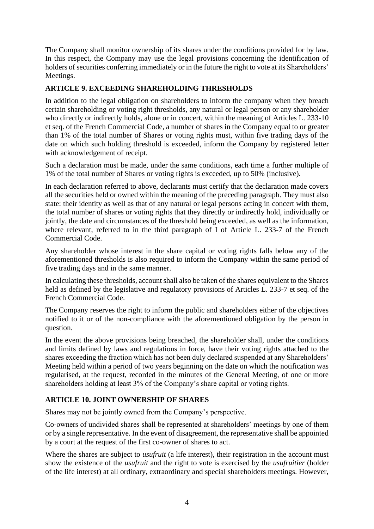The Company shall monitor ownership of its shares under the conditions provided for by law. In this respect, the Company may use the legal provisions concerning the identification of holders of securities conferring immediately or in the future the right to vote at its Shareholders' Meetings.

# **ARTICLE 9. EXCEEDING SHAREHOLDING THRESHOLDS**

In addition to the legal obligation on shareholders to inform the company when they breach certain shareholding or voting right thresholds, any natural or legal person or any shareholder who directly or indirectly holds, alone or in concert, within the meaning of Articles L. 233-10 et seq. of the French Commercial Code, a number of shares in the Company equal to or greater than 1% of the total number of Shares or voting rights must, within five trading days of the date on which such holding threshold is exceeded, inform the Company by registered letter with acknowledgement of receipt.

Such a declaration must be made, under the same conditions, each time a further multiple of 1% of the total number of Shares or voting rights is exceeded, up to 50% (inclusive).

In each declaration referred to above, declarants must certify that the declaration made covers all the securities held or owned within the meaning of the preceding paragraph. They must also state: their identity as well as that of any natural or legal persons acting in concert with them, the total number of shares or voting rights that they directly or indirectly hold, individually or jointly, the date and circumstances of the threshold being exceeded, as well as the information, where relevant, referred to in the third paragraph of I of Article L. 233-7 of the French Commercial Code.

Any shareholder whose interest in the share capital or voting rights falls below any of the aforementioned thresholds is also required to inform the Company within the same period of five trading days and in the same manner.

In calculating these thresholds, account shall also be taken of the shares equivalent to the Shares held as defined by the legislative and regulatory provisions of Articles L. 233-7 et seq. of the French Commercial Code.

The Company reserves the right to inform the public and shareholders either of the objectives notified to it or of the non-compliance with the aforementioned obligation by the person in question.

In the event the above provisions being breached, the shareholder shall, under the conditions and limits defined by laws and regulations in force, have their voting rights attached to the shares exceeding the fraction which has not been duly declared suspended at any Shareholders' Meeting held within a period of two years beginning on the date on which the notification was regularised, at the request, recorded in the minutes of the General Meeting, of one or more shareholders holding at least 3% of the Company's share capital or voting rights.

# **ARTICLE 10. JOINT OWNERSHIP OF SHARES**

Shares may not be jointly owned from the Company's perspective.

Co-owners of undivided shares shall be represented at shareholders' meetings by one of them or by a single representative. In the event of disagreement, the representative shall be appointed by a court at the request of the first co-owner of shares to act.

Where the shares are subject to *usufruit* (a life interest), their registration in the account must show the existence of the *usufruit* and the right to vote is exercised by the *usufruitier* (holder of the life interest) at all ordinary, extraordinary and special shareholders meetings. However,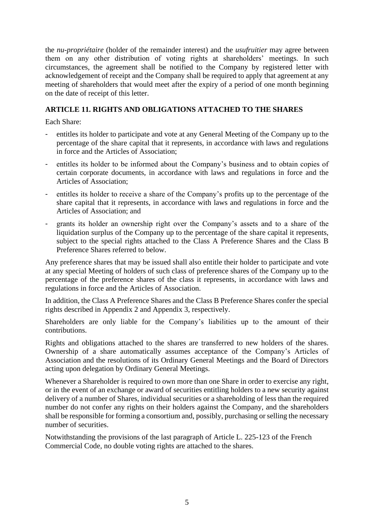the *nu-propriétaire* (holder of the remainder interest) and the *usufruitier* may agree between them on any other distribution of voting rights at shareholders' meetings. In such circumstances, the agreement shall be notified to the Company by registered letter with acknowledgement of receipt and the Company shall be required to apply that agreement at any meeting of shareholders that would meet after the expiry of a period of one month beginning on the date of receipt of this letter.

# **ARTICLE 11. RIGHTS AND OBLIGATIONS ATTACHED TO THE SHARES**

Each Share:

- entitles its holder to participate and vote at any General Meeting of the Company up to the percentage of the share capital that it represents, in accordance with laws and regulations in force and the Articles of Association;
- entitles its holder to be informed about the Company's business and to obtain copies of certain corporate documents, in accordance with laws and regulations in force and the Articles of Association;
- entitles its holder to receive a share of the Company's profits up to the percentage of the share capital that it represents, in accordance with laws and regulations in force and the Articles of Association; and
- grants its holder an ownership right over the Company's assets and to a share of the liquidation surplus of the Company up to the percentage of the share capital it represents, subject to the special rights attached to the Class A Preference Shares and the Class B Preference Shares referred to below.

Any preference shares that may be issued shall also entitle their holder to participate and vote at any special Meeting of holders of such class of preference shares of the Company up to the percentage of the preference shares of the class it represents, in accordance with laws and regulations in force and the Articles of Association.

In addition, the Class A Preference Shares and the Class B Preference Shares confer the special rights described in Appendix 2 and Appendix 3, respectively.

Shareholders are only liable for the Company's liabilities up to the amount of their contributions.

Rights and obligations attached to the shares are transferred to new holders of the shares. Ownership of a share automatically assumes acceptance of the Company's Articles of Association and the resolutions of its Ordinary General Meetings and the Board of Directors acting upon delegation by Ordinary General Meetings.

Whenever a Shareholder is required to own more than one Share in order to exercise any right, or in the event of an exchange or award of securities entitling holders to a new security against delivery of a number of Shares, individual securities or a shareholding of less than the required number do not confer any rights on their holders against the Company, and the shareholders shall be responsible for forming a consortium and, possibly, purchasing or selling the necessary number of securities.

Notwithstanding the provisions of the last paragraph of Article L. 225-123 of the French Commercial Code, no double voting rights are attached to the shares.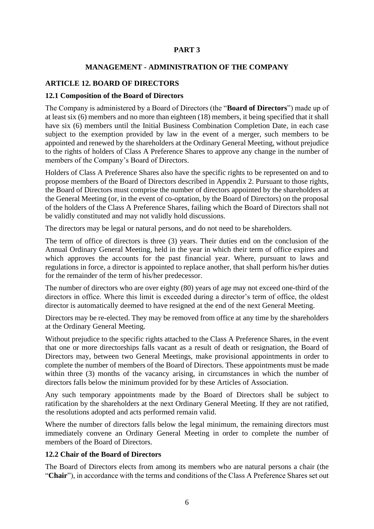# **PART 3**

#### **MANAGEMENT - ADMINISTRATION OF THE COMPANY**

# **ARTICLE 12. BOARD OF DIRECTORS**

#### **12.1 Composition of the Board of Directors**

The Company is administered by a Board of Directors (the "**Board of Directors**") made up of at least six (6) members and no more than eighteen (18) members, it being specified that it shall have six (6) members until the Initial Business Combination Completion Date, in each case subject to the exemption provided by law in the event of a merger, such members to be appointed and renewed by the shareholders at the Ordinary General Meeting, without prejudice to the rights of holders of Class A Preference Shares to approve any change in the number of members of the Company's Board of Directors.

Holders of Class A Preference Shares also have the specific rights to be represented on and to propose members of the Board of Directors described in Appendix 2. Pursuant to those rights, the Board of Directors must comprise the number of directors appointed by the shareholders at the General Meeting (or, in the event of co-optation, by the Board of Directors) on the proposal of the holders of the Class A Preference Shares, failing which the Board of Directors shall not be validly constituted and may not validly hold discussions.

The directors may be legal or natural persons, and do not need to be shareholders.

The term of office of directors is three (3) years. Their duties end on the conclusion of the Annual Ordinary General Meeting, held in the year in which their term of office expires and which approves the accounts for the past financial year. Where, pursuant to laws and regulations in force, a director is appointed to replace another, that shall perform his/her duties for the remainder of the term of his/her predecessor.

The number of directors who are over eighty (80) years of age may not exceed one-third of the directors in office. Where this limit is exceeded during a director's term of office, the oldest director is automatically deemed to have resigned at the end of the next General Meeting.

Directors may be re-elected. They may be removed from office at any time by the shareholders at the Ordinary General Meeting.

Without prejudice to the specific rights attached to the Class A Preference Shares, in the event that one or more directorships falls vacant as a result of death or resignation, the Board of Directors may, between two General Meetings, make provisional appointments in order to complete the number of members of the Board of Directors. These appointments must be made within three (3) months of the vacancy arising, in circumstances in which the number of directors falls below the minimum provided for by these Articles of Association.

Any such temporary appointments made by the Board of Directors shall be subject to ratification by the shareholders at the next Ordinary General Meeting. If they are not ratified, the resolutions adopted and acts performed remain valid.

Where the number of directors falls below the legal minimum, the remaining directors must immediately convene an Ordinary General Meeting in order to complete the number of members of the Board of Directors.

# **12.2 Chair of the Board of Directors**

The Board of Directors elects from among its members who are natural persons a chair (the "**Chair**"), in accordance with the terms and conditions of the Class A Preference Shares set out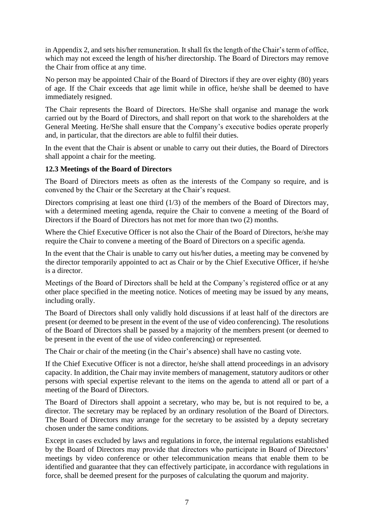in Appendix 2, and sets his/her remuneration. It shall fix the length of the Chair's term of office, which may not exceed the length of his/her directorship. The Board of Directors may remove the Chair from office at any time.

No person may be appointed Chair of the Board of Directors if they are over eighty (80) years of age. If the Chair exceeds that age limit while in office, he/she shall be deemed to have immediately resigned.

The Chair represents the Board of Directors. He/She shall organise and manage the work carried out by the Board of Directors, and shall report on that work to the shareholders at the General Meeting. He/She shall ensure that the Company's executive bodies operate properly and, in particular, that the directors are able to fulfil their duties.

In the event that the Chair is absent or unable to carry out their duties, the Board of Directors shall appoint a chair for the meeting.

# **12.3 Meetings of the Board of Directors**

The Board of Directors meets as often as the interests of the Company so require, and is convened by the Chair or the Secretary at the Chair's request.

Directors comprising at least one third (1/3) of the members of the Board of Directors may, with a determined meeting agenda, require the Chair to convene a meeting of the Board of Directors if the Board of Directors has not met for more than two (2) months.

Where the Chief Executive Officer is not also the Chair of the Board of Directors, he/she may require the Chair to convene a meeting of the Board of Directors on a specific agenda.

In the event that the Chair is unable to carry out his/her duties, a meeting may be convened by the director temporarily appointed to act as Chair or by the Chief Executive Officer, if he/she is a director.

Meetings of the Board of Directors shall be held at the Company's registered office or at any other place specified in the meeting notice. Notices of meeting may be issued by any means, including orally.

The Board of Directors shall only validly hold discussions if at least half of the directors are present (or deemed to be present in the event of the use of video conferencing). The resolutions of the Board of Directors shall be passed by a majority of the members present (or deemed to be present in the event of the use of video conferencing) or represented.

The Chair or chair of the meeting (in the Chair's absence) shall have no casting vote.

If the Chief Executive Officer is not a director, he/she shall attend proceedings in an advisory capacity. In addition, the Chair may invite members of management, statutory auditors or other persons with special expertise relevant to the items on the agenda to attend all or part of a meeting of the Board of Directors.

The Board of Directors shall appoint a secretary, who may be, but is not required to be, a director. The secretary may be replaced by an ordinary resolution of the Board of Directors. The Board of Directors may arrange for the secretary to be assisted by a deputy secretary chosen under the same conditions.

Except in cases excluded by laws and regulations in force, the internal regulations established by the Board of Directors may provide that directors who participate in Board of Directors' meetings by video conference or other telecommunication means that enable them to be identified and guarantee that they can effectively participate, in accordance with regulations in force, shall be deemed present for the purposes of calculating the quorum and majority.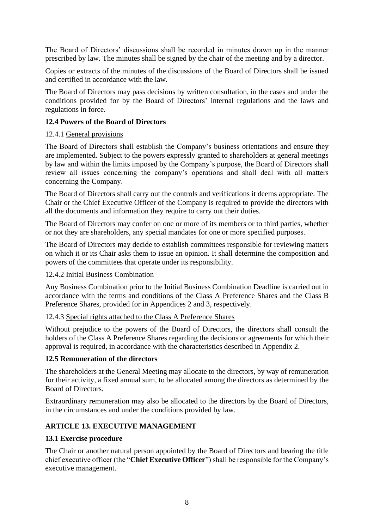The Board of Directors' discussions shall be recorded in minutes drawn up in the manner prescribed by law. The minutes shall be signed by the chair of the meeting and by a director.

Copies or extracts of the minutes of the discussions of the Board of Directors shall be issued and certified in accordance with the law.

The Board of Directors may pass decisions by written consultation, in the cases and under the conditions provided for by the Board of Directors' internal regulations and the laws and regulations in force.

#### **12.4 Powers of the Board of Directors**

#### 12.4.1 General provisions

The Board of Directors shall establish the Company's business orientations and ensure they are implemented. Subject to the powers expressly granted to shareholders at general meetings by law and within the limits imposed by the Company's purpose, the Board of Directors shall review all issues concerning the company's operations and shall deal with all matters concerning the Company.

The Board of Directors shall carry out the controls and verifications it deems appropriate. The Chair or the Chief Executive Officer of the Company is required to provide the directors with all the documents and information they require to carry out their duties.

The Board of Directors may confer on one or more of its members or to third parties, whether or not they are shareholders, any special mandates for one or more specified purposes.

The Board of Directors may decide to establish committees responsible for reviewing matters on which it or its Chair asks them to issue an opinion. It shall determine the composition and powers of the committees that operate under its responsibility.

#### 12.4.2 Initial Business Combination

Any Business Combination prior to the Initial Business Combination Deadline is carried out in accordance with the terms and conditions of the Class A Preference Shares and the Class B Preference Shares, provided for in Appendices 2 and 3, respectively.

#### 12.4.3 Special rights attached to the Class A Preference Shares

Without prejudice to the powers of the Board of Directors, the directors shall consult the holders of the Class A Preference Shares regarding the decisions or agreements for which their approval is required, in accordance with the characteristics described in Appendix 2.

#### **12.5 Remuneration of the directors**

The shareholders at the General Meeting may allocate to the directors, by way of remuneration for their activity, a fixed annual sum, to be allocated among the directors as determined by the Board of Directors.

Extraordinary remuneration may also be allocated to the directors by the Board of Directors, in the circumstances and under the conditions provided by law.

# **ARTICLE 13. EXECUTIVE MANAGEMENT**

#### **13.1 Exercise procedure**

The Chair or another natural person appointed by the Board of Directors and bearing the title chief executive officer (the "**Chief Executive Officer**") shall be responsible for the Company's executive management.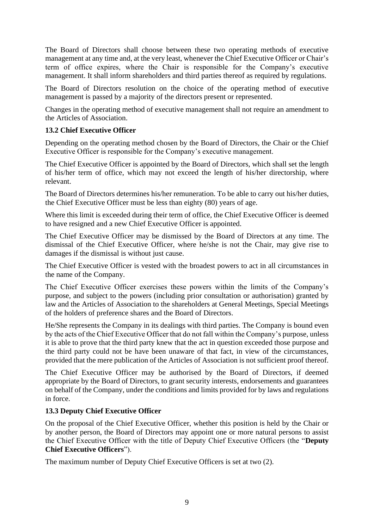The Board of Directors shall choose between these two operating methods of executive management at any time and, at the very least, whenever the Chief Executive Officer or Chair's term of office expires, where the Chair is responsible for the Company's executive management. It shall inform shareholders and third parties thereof as required by regulations.

The Board of Directors resolution on the choice of the operating method of executive management is passed by a majority of the directors present or represented.

Changes in the operating method of executive management shall not require an amendment to the Articles of Association.

# **13.2 Chief Executive Officer**

Depending on the operating method chosen by the Board of Directors, the Chair or the Chief Executive Officer is responsible for the Company's executive management.

The Chief Executive Officer is appointed by the Board of Directors, which shall set the length of his/her term of office, which may not exceed the length of his/her directorship, where relevant.

The Board of Directors determines his/her remuneration. To be able to carry out his/her duties, the Chief Executive Officer must be less than eighty (80) years of age.

Where this limit is exceeded during their term of office, the Chief Executive Officer is deemed to have resigned and a new Chief Executive Officer is appointed.

The Chief Executive Officer may be dismissed by the Board of Directors at any time. The dismissal of the Chief Executive Officer, where he/she is not the Chair, may give rise to damages if the dismissal is without just cause.

The Chief Executive Officer is vested with the broadest powers to act in all circumstances in the name of the Company.

The Chief Executive Officer exercises these powers within the limits of the Company's purpose, and subject to the powers (including prior consultation or authorisation) granted by law and the Articles of Association to the shareholders at General Meetings, Special Meetings of the holders of preference shares and the Board of Directors.

He/She represents the Company in its dealings with third parties. The Company is bound even by the acts of the Chief Executive Officer that do not fall within the Company's purpose, unless it is able to prove that the third party knew that the act in question exceeded those purpose and the third party could not be have been unaware of that fact, in view of the circumstances, provided that the mere publication of the Articles of Association is not sufficient proof thereof.

The Chief Executive Officer may be authorised by the Board of Directors, if deemed appropriate by the Board of Directors, to grant security interests, endorsements and guarantees on behalf of the Company, under the conditions and limits provided for by laws and regulations in force.

# **13.3 Deputy Chief Executive Officer**

On the proposal of the Chief Executive Officer, whether this position is held by the Chair or by another person, the Board of Directors may appoint one or more natural persons to assist the Chief Executive Officer with the title of Deputy Chief Executive Officers (the "**Deputy Chief Executive Officers**").

The maximum number of Deputy Chief Executive Officers is set at two (2).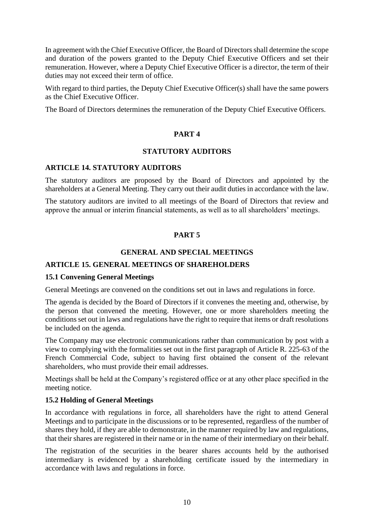In agreement with the Chief Executive Officer, the Board of Directors shall determine the scope and duration of the powers granted to the Deputy Chief Executive Officers and set their remuneration. However, where a Deputy Chief Executive Officer is a director, the term of their duties may not exceed their term of office.

With regard to third parties, the Deputy Chief Executive Officer(s) shall have the same powers as the Chief Executive Officer.

The Board of Directors determines the remuneration of the Deputy Chief Executive Officers.

# **PART 4**

# **STATUTORY AUDITORS**

#### **ARTICLE 14. STATUTORY AUDITORS**

The statutory auditors are proposed by the Board of Directors and appointed by the shareholders at a General Meeting. They carry out their audit duties in accordance with the law.

The statutory auditors are invited to all meetings of the Board of Directors that review and approve the annual or interim financial statements, as well as to all shareholders' meetings.

# **PART 5**

# **GENERAL AND SPECIAL MEETINGS**

# **ARTICLE 15. GENERAL MEETINGS OF SHAREHOLDERS**

#### **15.1 Convening General Meetings**

General Meetings are convened on the conditions set out in laws and regulations in force.

The agenda is decided by the Board of Directors if it convenes the meeting and, otherwise, by the person that convened the meeting. However, one or more shareholders meeting the conditions set out in laws and regulations have the right to require that items or draft resolutions be included on the agenda.

The Company may use electronic communications rather than communication by post with a view to complying with the formalities set out in the first paragraph of Article R. 225-63 of the French Commercial Code, subject to having first obtained the consent of the relevant shareholders, who must provide their email addresses.

Meetings shall be held at the Company's registered office or at any other place specified in the meeting notice.

# **15.2 Holding of General Meetings**

In accordance with regulations in force, all shareholders have the right to attend General Meetings and to participate in the discussions or to be represented, regardless of the number of shares they hold, if they are able to demonstrate, in the manner required by law and regulations, that their shares are registered in their name or in the name of their intermediary on their behalf.

The registration of the securities in the bearer shares accounts held by the authorised intermediary is evidenced by a shareholding certificate issued by the intermediary in accordance with laws and regulations in force.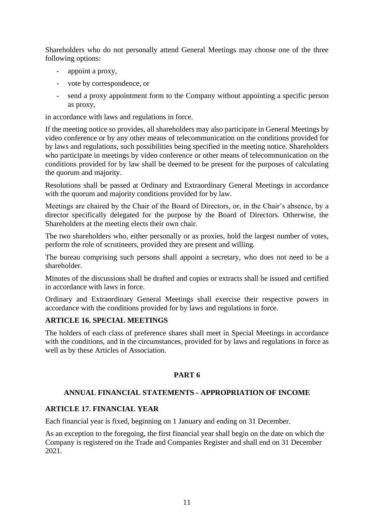Shareholders who do not personally attend General Meetings may choose one of the three following options:

- appoint a proxy,
- vote by correspondence, or
- send a proxy appointment form to the Company without appointing a specific person as proxy,

in accordance with laws and regulations in force.

If the meeting notice so provides, all shareholders may also participate in General Meetings by video conference or by any other means of telecommunication on the conditions provided for by laws and regulations, such possibilities being specified in the meeting notice. Shareholders who participate in meetings by video conference or other means of telecommunication on the conditions provided for by law shall be deemed to be present for the purposes of calculating the quorum and majority.

Resolutions shall be passed at Ordinary and Extraordinary General Meetings in accordance with the quorum and majority conditions provided for by law.

Meetings are chaired by the Chair of the Board of Directors, or, in the Chair's absence, by a director specifically delegated for the purpose by the Board of Directors. Otherwise, the Shareholders at the meeting elects their own chair.

The two shareholders who, either personally or as proxies, hold the largest number of votes, perform the role of scrutineers, provided they are present and willing.

The bureau comprising such persons shall appoint a secretary, who does not need to be a shareholder.

Minutes of the discussions shall be drafted and copies or extracts shall be issued and certified in accordance with laws in force.

Ordinary and Extraordinary General Meetings shall exercise their respective powers in accordance with the conditions provided for by laws and regulations in force.

# **ARTICLE 16. SPECIAL MEETINGS**

The holders of each class of preference shares shall meet in Special Meetings in accordance with the conditions, and in the circumstances, provided for by laws and regulations in force as well as by these Articles of Association.

# **PART 6**

#### **ANNUAL FINANCIAL STATEMENTS - APPROPRIATION OF INCOME**

#### **ARTICLE 17. FINANCIAL YEAR**

Each financial year is fixed, beginning on 1 January and ending on 31 December.

As an exception to the foregoing, the first financial year shall begin on the date on which the Company is registered on the Trade and Companies Register and shall end on 31 December 2021.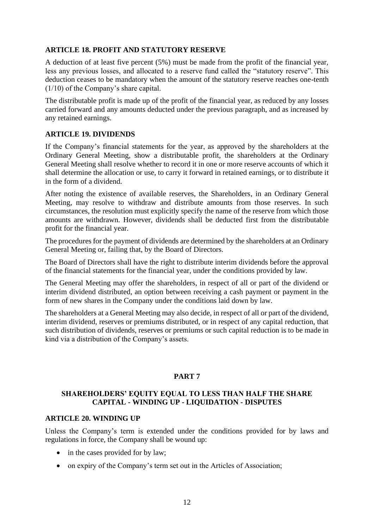# **ARTICLE 18. PROFIT AND STATUTORY RESERVE**

A deduction of at least five percent (5%) must be made from the profit of the financial year, less any previous losses, and allocated to a reserve fund called the "statutory reserve". This deduction ceases to be mandatory when the amount of the statutory reserve reaches one-tenth (1/10) of the Company's share capital.

The distributable profit is made up of the profit of the financial year, as reduced by any losses carried forward and any amounts deducted under the previous paragraph, and as increased by any retained earnings.

# **ARTICLE 19. DIVIDENDS**

If the Company's financial statements for the year, as approved by the shareholders at the Ordinary General Meeting, show a distributable profit, the shareholders at the Ordinary General Meeting shall resolve whether to record it in one or more reserve accounts of which it shall determine the allocation or use, to carry it forward in retained earnings, or to distribute it in the form of a dividend.

After noting the existence of available reserves, the Shareholders, in an Ordinary General Meeting, may resolve to withdraw and distribute amounts from those reserves. In such circumstances, the resolution must explicitly specify the name of the reserve from which those amounts are withdrawn. However, dividends shall be deducted first from the distributable profit for the financial year.

The procedures for the payment of dividends are determined by the shareholders at an Ordinary General Meeting or, failing that, by the Board of Directors.

The Board of Directors shall have the right to distribute interim dividends before the approval of the financial statements for the financial year, under the conditions provided by law.

The General Meeting may offer the shareholders, in respect of all or part of the dividend or interim dividend distributed, an option between receiving a cash payment or payment in the form of new shares in the Company under the conditions laid down by law.

The shareholders at a General Meeting may also decide, in respect of all or part of the dividend, interim dividend, reserves or premiums distributed, or in respect of any capital reduction, that such distribution of dividends, reserves or premiums or such capital reduction is to be made in kind via a distribution of the Company's assets.

# **PART 7**

# **SHAREHOLDERS' EQUITY EQUAL TO LESS THAN HALF THE SHARE CAPITAL - WINDING UP - LIQUIDATION - DISPUTES**

#### **ARTICLE 20. WINDING UP**

Unless the Company's term is extended under the conditions provided for by laws and regulations in force, the Company shall be wound up:

- in the cases provided for by law:
- on expiry of the Company's term set out in the Articles of Association;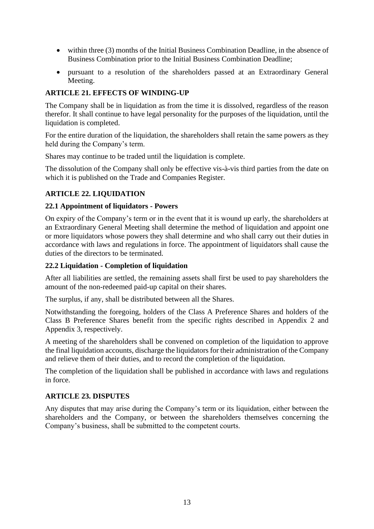- within three (3) months of the Initial Business Combination Deadline, in the absence of Business Combination prior to the Initial Business Combination Deadline;
- pursuant to a resolution of the shareholders passed at an Extraordinary General Meeting.

# **ARTICLE 21. EFFECTS OF WINDING-UP**

The Company shall be in liquidation as from the time it is dissolved, regardless of the reason therefor. It shall continue to have legal personality for the purposes of the liquidation, until the liquidation is completed.

For the entire duration of the liquidation, the shareholders shall retain the same powers as they held during the Company's term.

Shares may continue to be traded until the liquidation is complete.

The dissolution of the Company shall only be effective vis-à-vis third parties from the date on which it is published on the Trade and Companies Register.

# **ARTICLE 22. LIQUIDATION**

# **22.1 Appointment of liquidators - Powers**

On expiry of the Company's term or in the event that it is wound up early, the shareholders at an Extraordinary General Meeting shall determine the method of liquidation and appoint one or more liquidators whose powers they shall determine and who shall carry out their duties in accordance with laws and regulations in force. The appointment of liquidators shall cause the duties of the directors to be terminated.

#### **22.2 Liquidation - Completion of liquidation**

After all liabilities are settled, the remaining assets shall first be used to pay shareholders the amount of the non-redeemed paid-up capital on their shares.

The surplus, if any, shall be distributed between all the Shares.

Notwithstanding the foregoing, holders of the Class A Preference Shares and holders of the Class B Preference Shares benefit from the specific rights described in Appendix 2 and Appendix 3, respectively.

A meeting of the shareholders shall be convened on completion of the liquidation to approve the final liquidation accounts, discharge the liquidators for their administration of the Company and relieve them of their duties, and to record the completion of the liquidation.

The completion of the liquidation shall be published in accordance with laws and regulations in force.

# **ARTICLE 23. DISPUTES**

Any disputes that may arise during the Company's term or its liquidation, either between the shareholders and the Company, or between the shareholders themselves concerning the Company's business, shall be submitted to the competent courts.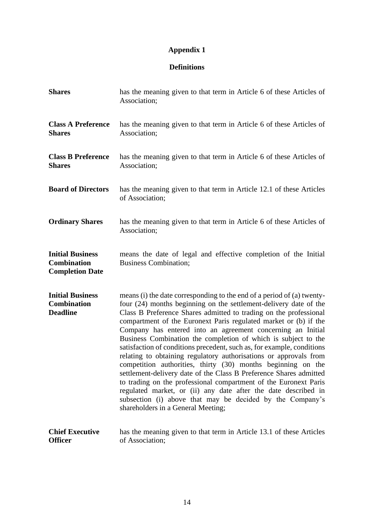# **Appendix 1**

# **Definitions**

| <b>Shares</b>                                                           | has the meaning given to that term in Article 6 of these Articles of<br>Association;                                                                                                                                                                                                                                                                                                                                                                                                                                                                                                                                                                                                                                                                                                                                                                                                                                                                |
|-------------------------------------------------------------------------|-----------------------------------------------------------------------------------------------------------------------------------------------------------------------------------------------------------------------------------------------------------------------------------------------------------------------------------------------------------------------------------------------------------------------------------------------------------------------------------------------------------------------------------------------------------------------------------------------------------------------------------------------------------------------------------------------------------------------------------------------------------------------------------------------------------------------------------------------------------------------------------------------------------------------------------------------------|
| <b>Class A Preference</b><br><b>Shares</b>                              | has the meaning given to that term in Article 6 of these Articles of<br>Association;                                                                                                                                                                                                                                                                                                                                                                                                                                                                                                                                                                                                                                                                                                                                                                                                                                                                |
| <b>Class B Preference</b><br><b>Shares</b>                              | has the meaning given to that term in Article 6 of these Articles of<br>Association;                                                                                                                                                                                                                                                                                                                                                                                                                                                                                                                                                                                                                                                                                                                                                                                                                                                                |
| <b>Board of Directors</b>                                               | has the meaning given to that term in Article 12.1 of these Articles<br>of Association;                                                                                                                                                                                                                                                                                                                                                                                                                                                                                                                                                                                                                                                                                                                                                                                                                                                             |
| <b>Ordinary Shares</b>                                                  | has the meaning given to that term in Article 6 of these Articles of<br>Association;                                                                                                                                                                                                                                                                                                                                                                                                                                                                                                                                                                                                                                                                                                                                                                                                                                                                |
| <b>Initial Business</b><br><b>Combination</b><br><b>Completion Date</b> | means the date of legal and effective completion of the Initial<br><b>Business Combination;</b>                                                                                                                                                                                                                                                                                                                                                                                                                                                                                                                                                                                                                                                                                                                                                                                                                                                     |
| <b>Initial Business</b><br><b>Combination</b><br><b>Deadline</b>        | means (i) the date corresponding to the end of a period of (a) twenty-<br>four (24) months beginning on the settlement-delivery date of the<br>Class B Preference Shares admitted to trading on the professional<br>compartment of the Euronext Paris regulated market or (b) if the<br>Company has entered into an agreement concerning an Initial<br>Business Combination the completion of which is subject to the<br>satisfaction of conditions precedent, such as, for example, conditions<br>relating to obtaining regulatory authorisations or approvals from<br>competition authorities, thirty (30) months beginning on the<br>settlement-delivery date of the Class B Preference Shares admitted<br>to trading on the professional compartment of the Euronext Paris<br>regulated market, or (ii) any date after the date described in<br>subsection (i) above that may be decided by the Company's<br>shareholders in a General Meeting; |
| <b>Chief Executive</b><br><b>Officer</b>                                | has the meaning given to that term in Article 13.1 of these Articles<br>of Association;                                                                                                                                                                                                                                                                                                                                                                                                                                                                                                                                                                                                                                                                                                                                                                                                                                                             |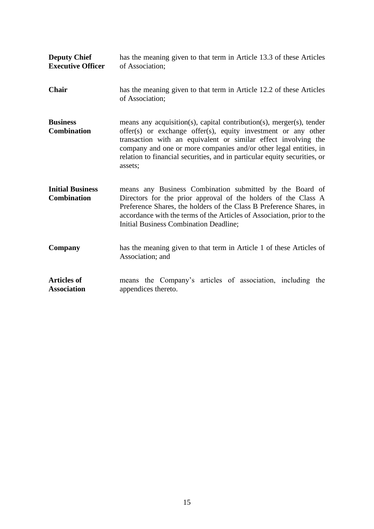| <b>Deputy Chief</b><br><b>Executive Officer</b> | has the meaning given to that term in Article 13.3 of these Articles<br>of Association;                                                                                                                                                                                                                                                                              |
|-------------------------------------------------|----------------------------------------------------------------------------------------------------------------------------------------------------------------------------------------------------------------------------------------------------------------------------------------------------------------------------------------------------------------------|
| <b>Chair</b>                                    | has the meaning given to that term in Article 12.2 of these Articles<br>of Association:                                                                                                                                                                                                                                                                              |
| <b>Business</b><br><b>Combination</b>           | means any acquisition(s), capital contribution(s), merger(s), tender<br>offer(s) or exchange offer(s), equity investment or any other<br>transaction with an equivalent or similar effect involving the<br>company and one or more companies and/or other legal entities, in<br>relation to financial securities, and in particular equity securities, or<br>assets; |
| <b>Initial Business</b><br><b>Combination</b>   | means any Business Combination submitted by the Board of<br>Directors for the prior approval of the holders of the Class A<br>Preference Shares, the holders of the Class B Preference Shares, in<br>accordance with the terms of the Articles of Association, prior to the<br>Initial Business Combination Deadline;                                                |
| Company                                         | has the meaning given to that term in Article 1 of these Articles of<br>Association; and                                                                                                                                                                                                                                                                             |
| <b>Articles of</b><br><b>Association</b>        | means the Company's articles of association, including the<br>appendices thereto.                                                                                                                                                                                                                                                                                    |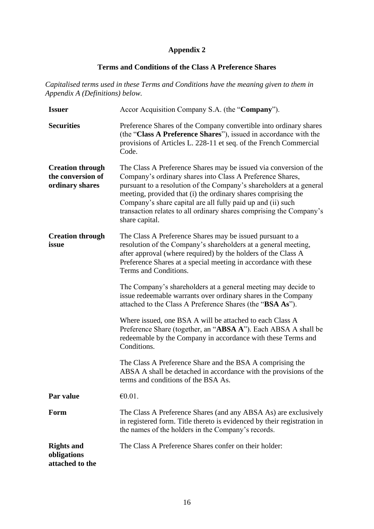# **Appendix 2**

# **Terms and Conditions of the Class A Preference Shares**

*Capitalised terms used in these Terms and Conditions have the meaning given to them in Appendix A (Definitions) below.*

| <b>Issuer</b>                                                   | Accor Acquisition Company S.A. (the "Company").                                                                                                                                                                                                                                                                                                                                                                                |
|-----------------------------------------------------------------|--------------------------------------------------------------------------------------------------------------------------------------------------------------------------------------------------------------------------------------------------------------------------------------------------------------------------------------------------------------------------------------------------------------------------------|
| <b>Securities</b>                                               | Preference Shares of the Company convertible into ordinary shares<br>(the "Class A Preference Shares"), issued in accordance with the<br>provisions of Articles L. 228-11 et seq. of the French Commercial<br>Code.                                                                                                                                                                                                            |
| <b>Creation through</b><br>the conversion of<br>ordinary shares | The Class A Preference Shares may be issued via conversion of the<br>Company's ordinary shares into Class A Preference Shares,<br>pursuant to a resolution of the Company's shareholders at a general<br>meeting, provided that (i) the ordinary shares comprising the<br>Company's share capital are all fully paid up and (ii) such<br>transaction relates to all ordinary shares comprising the Company's<br>share capital. |
| <b>Creation through</b><br>issue                                | The Class A Preference Shares may be issued pursuant to a<br>resolution of the Company's shareholders at a general meeting,<br>after approval (where required) by the holders of the Class A<br>Preference Shares at a special meeting in accordance with these<br>Terms and Conditions.                                                                                                                                       |
|                                                                 | The Company's shareholders at a general meeting may decide to<br>issue redeemable warrants over ordinary shares in the Company<br>attached to the Class A Preference Shares (the "BSA As").                                                                                                                                                                                                                                    |
|                                                                 | Where issued, one BSA A will be attached to each Class A<br>Preference Share (together, an "ABSA A"). Each ABSA A shall be<br>redeemable by the Company in accordance with these Terms and<br>Conditions.                                                                                                                                                                                                                      |
|                                                                 | The Class A Preference Share and the BSA A comprising the<br>ABSA A shall be detached in accordance with the provisions of the<br>terms and conditions of the BSA As.                                                                                                                                                                                                                                                          |
| Par value                                                       | €0.01.                                                                                                                                                                                                                                                                                                                                                                                                                         |
| Form                                                            | The Class A Preference Shares (and any ABSA As) are exclusively<br>in registered form. Title thereto is evidenced by their registration in<br>the names of the holders in the Company's records.                                                                                                                                                                                                                               |
| <b>Rights and</b><br>obligations<br>attached to the             | The Class A Preference Shares confer on their holder:                                                                                                                                                                                                                                                                                                                                                                          |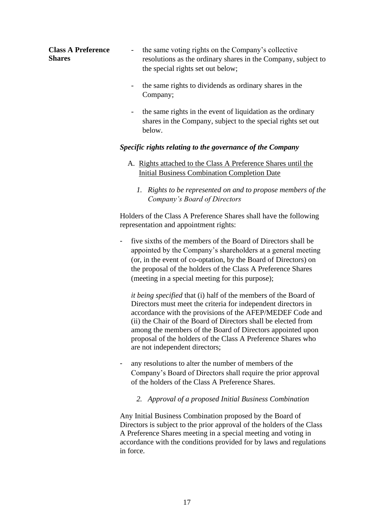| <b>Class A Preference</b><br><b>Shares</b> | the same voting rights on the Company's collective<br>$\overline{\phantom{a}}$<br>resolutions as the ordinary shares in the Company, subject to<br>the special rights set out below; |
|--------------------------------------------|--------------------------------------------------------------------------------------------------------------------------------------------------------------------------------------|
|                                            | the same rights to dividends as ordinary shares in the<br>-<br>Company;                                                                                                              |
|                                            | the same rights in the event of liquidation as the ordinary<br>$\qquad \qquad \blacksquare$<br>shares in the Company, subject to the special rights set out<br>below.                |

#### *Specific rights relating to the governance of the Company*

- A. Rights attached to the Class A Preference Shares until the Initial Business Combination Completion Date
	- *1. Rights to be represented on and to propose members of the Company's Board of Directors*

Holders of the Class A Preference Shares shall have the following representation and appointment rights:

five sixths of the members of the Board of Directors shall be appointed by the Company's shareholders at a general meeting (or, in the event of co-optation, by the Board of Directors) on the proposal of the holders of the Class A Preference Shares (meeting in a special meeting for this purpose);

*it being specified* that (i) half of the members of the Board of Directors must meet the criteria for independent directors in accordance with the provisions of the AFEP/MEDEF Code and (ii) the Chair of the Board of Directors shall be elected from among the members of the Board of Directors appointed upon proposal of the holders of the Class A Preference Shares who are not independent directors;

any resolutions to alter the number of members of the Company's Board of Directors shall require the prior approval of the holders of the Class A Preference Shares.

#### *2. Approval of a proposed Initial Business Combination*

Any Initial Business Combination proposed by the Board of Directors is subject to the prior approval of the holders of the Class A Preference Shares meeting in a special meeting and voting in accordance with the conditions provided for by laws and regulations in force.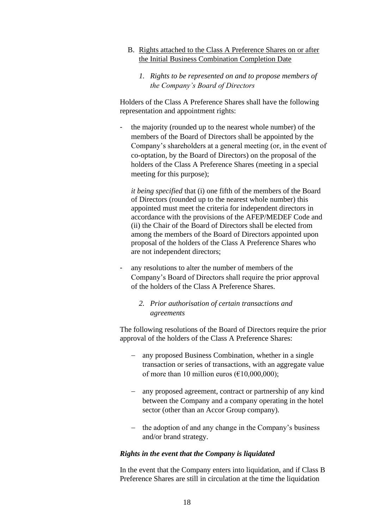- B. Rights attached to the Class A Preference Shares on or after the Initial Business Combination Completion Date
	- *1. Rights to be represented on and to propose members of the Company's Board of Directors*

Holders of the Class A Preference Shares shall have the following representation and appointment rights:

the majority (rounded up to the nearest whole number) of the members of the Board of Directors shall be appointed by the Company's shareholders at a general meeting (or, in the event of co-optation, by the Board of Directors) on the proposal of the holders of the Class A Preference Shares (meeting in a special meeting for this purpose);

*it being specified* that (i) one fifth of the members of the Board of Directors (rounded up to the nearest whole number) this appointed must meet the criteria for independent directors in accordance with the provisions of the AFEP/MEDEF Code and (ii) the Chair of the Board of Directors shall be elected from among the members of the Board of Directors appointed upon proposal of the holders of the Class A Preference Shares who are not independent directors;

any resolutions to alter the number of members of the Company's Board of Directors shall require the prior approval of the holders of the Class A Preference Shares.

#### *2. Prior authorisation of certain transactions and agreements*

The following resolutions of the Board of Directors require the prior approval of the holders of the Class A Preference Shares:

- − any proposed Business Combination, whether in a single transaction or series of transactions, with an aggregate value of more than 10 million euros ( $\epsilon$ 10,000,000);
- − any proposed agreement, contract or partnership of any kind between the Company and a company operating in the hotel sector (other than an Accor Group company).
- − the adoption of and any change in the Company's business and/or brand strategy.

#### *Rights in the event that the Company is liquidated*

In the event that the Company enters into liquidation, and if Class B Preference Shares are still in circulation at the time the liquidation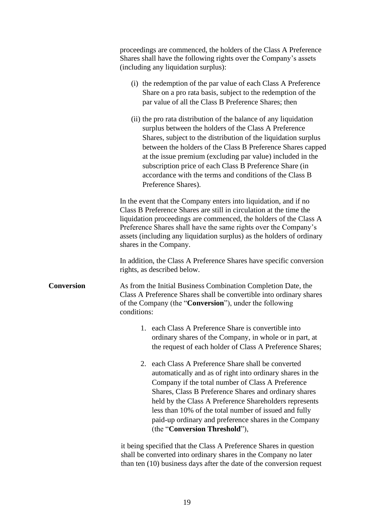|                   | proceedings are commenced, the holders of the Class A Preference<br>Shares shall have the following rights over the Company's assets<br>(including any liquidation surplus):                                                                                                                                                                                                                                                                                          |
|-------------------|-----------------------------------------------------------------------------------------------------------------------------------------------------------------------------------------------------------------------------------------------------------------------------------------------------------------------------------------------------------------------------------------------------------------------------------------------------------------------|
|                   | (i) the redemption of the par value of each Class A Preference<br>Share on a pro rata basis, subject to the redemption of the<br>par value of all the Class B Preference Shares; then                                                                                                                                                                                                                                                                                 |
|                   | (ii) the pro rata distribution of the balance of any liquidation<br>surplus between the holders of the Class A Preference<br>Shares, subject to the distribution of the liquidation surplus<br>between the holders of the Class B Preference Shares capped<br>at the issue premium (excluding par value) included in the<br>subscription price of each Class B Preference Share (in<br>accordance with the terms and conditions of the Class B<br>Preference Shares). |
|                   | In the event that the Company enters into liquidation, and if no<br>Class B Preference Shares are still in circulation at the time the<br>liquidation proceedings are commenced, the holders of the Class A<br>Preference Shares shall have the same rights over the Company's<br>assets (including any liquidation surplus) as the holders of ordinary<br>shares in the Company.                                                                                     |
|                   | In addition, the Class A Preference Shares have specific conversion<br>rights, as described below.                                                                                                                                                                                                                                                                                                                                                                    |
| <b>Conversion</b> | As from the Initial Business Combination Completion Date, the<br>Class A Preference Shares shall be convertible into ordinary shares<br>of the Company (the " <b>Conversion</b> "), under the following<br>conditions:                                                                                                                                                                                                                                                |
|                   | 1. each Class A Preference Share is convertible into<br>ordinary shares of the Company, in whole or in part, at<br>the request of each holder of Class A Preference Shares;                                                                                                                                                                                                                                                                                           |
|                   | 2. each Class A Preference Share shall be converted<br>automatically and as of right into ordinary shares in the<br>Company if the total number of Class A Preference<br>Shares, Class B Preference Shares and ordinary shares<br>held by the Class A Preference Shareholders represents<br>less than 10% of the total number of issued and fully<br>paid-up ordinary and preference shares in the Company<br>(the "Conversion Threshold"),                           |
|                   | it being specified that the Class A Preference Shares in question<br>shall be converted into ordinary shares in the Company no later<br>than ten $(10)$ business days after the date of the conversion request                                                                                                                                                                                                                                                        |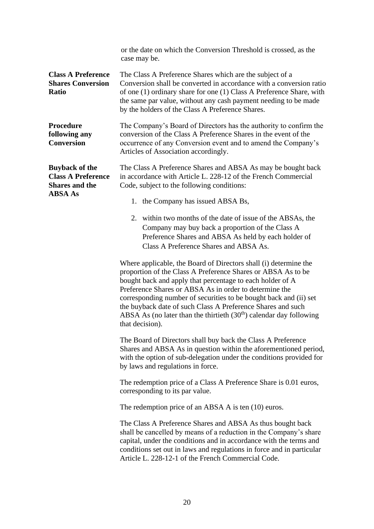|                                                                                               | or the date on which the Conversion Threshold is crossed, as the<br>case may be.                                                                                                                                                                                                                                                                                                                                                                                                       |
|-----------------------------------------------------------------------------------------------|----------------------------------------------------------------------------------------------------------------------------------------------------------------------------------------------------------------------------------------------------------------------------------------------------------------------------------------------------------------------------------------------------------------------------------------------------------------------------------------|
| <b>Class A Preference</b><br><b>Shares Conversion</b><br><b>Ratio</b>                         | The Class A Preference Shares which are the subject of a<br>Conversion shall be converted in accordance with a conversion ratio<br>of one (1) ordinary share for one (1) Class A Preference Share, with<br>the same par value, without any cash payment needing to be made<br>by the holders of the Class A Preference Shares.                                                                                                                                                         |
| Procedure<br>following any<br><b>Conversion</b>                                               | The Company's Board of Directors has the authority to confirm the<br>conversion of the Class A Preference Shares in the event of the<br>occurrence of any Conversion event and to amend the Company's<br>Articles of Association accordingly.                                                                                                                                                                                                                                          |
| <b>Buyback of the</b><br><b>Class A Preference</b><br><b>Shares and the</b><br><b>ABSA As</b> | The Class A Preference Shares and ABSA As may be bought back<br>in accordance with Article L. 228-12 of the French Commercial<br>Code, subject to the following conditions:                                                                                                                                                                                                                                                                                                            |
|                                                                                               | 1. the Company has issued ABSA Bs,                                                                                                                                                                                                                                                                                                                                                                                                                                                     |
|                                                                                               | 2. within two months of the date of issue of the ABSAs, the<br>Company may buy back a proportion of the Class A<br>Preference Shares and ABSA As held by each holder of<br>Class A Preference Shares and ABSA As.                                                                                                                                                                                                                                                                      |
|                                                                                               | Where applicable, the Board of Directors shall (i) determine the<br>proportion of the Class A Preference Shares or ABSA As to be<br>bought back and apply that percentage to each holder of A<br>Preference Shares or ABSA As in order to determine the<br>corresponding number of securities to be bought back and (ii) set<br>the buyback date of such Class A Preference Shares and such<br>ABSA As (no later than the thirtieth $(30th)$ calendar day following<br>that decision). |
|                                                                                               | The Board of Directors shall buy back the Class A Preference<br>Shares and ABSA As in question within the aforementioned period,<br>with the option of sub-delegation under the conditions provided for<br>by laws and regulations in force.                                                                                                                                                                                                                                           |
|                                                                                               | The redemption price of a Class A Preference Share is 0.01 euros,<br>corresponding to its par value.                                                                                                                                                                                                                                                                                                                                                                                   |
|                                                                                               | The redemption price of an ABSA $\overline{A}$ is ten (10) euros.                                                                                                                                                                                                                                                                                                                                                                                                                      |
|                                                                                               | The Class A Preference Shares and ABSA As thus bought back<br>shall be cancelled by means of a reduction in the Company's share<br>capital, under the conditions and in accordance with the terms and<br>conditions set out in laws and regulations in force and in particular<br>Article L. 228-12-1 of the French Commercial Code.                                                                                                                                                   |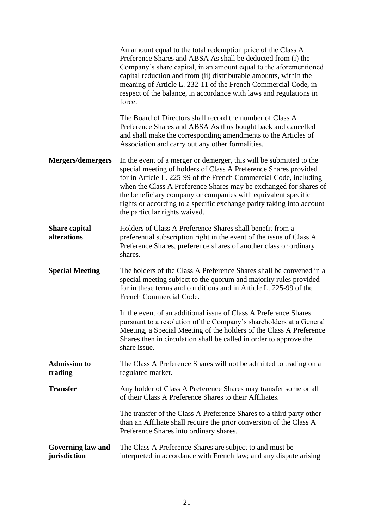|                                          | An amount equal to the total redemption price of the Class A<br>Preference Shares and ABSA As shall be deducted from (i) the<br>Company's share capital, in an amount equal to the aforementioned<br>capital reduction and from (ii) distributable amounts, within the<br>meaning of Article L. 232-11 of the French Commercial Code, in<br>respect of the balance, in accordance with laws and regulations in<br>force.                                     |
|------------------------------------------|--------------------------------------------------------------------------------------------------------------------------------------------------------------------------------------------------------------------------------------------------------------------------------------------------------------------------------------------------------------------------------------------------------------------------------------------------------------|
|                                          | The Board of Directors shall record the number of Class A<br>Preference Shares and ABSA As thus bought back and cancelled<br>and shall make the corresponding amendments to the Articles of<br>Association and carry out any other formalities.                                                                                                                                                                                                              |
| <b>Mergers/demergers</b>                 | In the event of a merger or demerger, this will be submitted to the<br>special meeting of holders of Class A Preference Shares provided<br>for in Article L. 225-99 of the French Commercial Code, including<br>when the Class A Preference Shares may be exchanged for shares of<br>the beneficiary company or companies with equivalent specific<br>rights or according to a specific exchange parity taking into account<br>the particular rights waived. |
| <b>Share capital</b><br>alterations      | Holders of Class A Preference Shares shall benefit from a<br>preferential subscription right in the event of the issue of Class A<br>Preference Shares, preference shares of another class or ordinary<br>shares.                                                                                                                                                                                                                                            |
| <b>Special Meeting</b>                   | The holders of the Class A Preference Shares shall be convened in a<br>special meeting subject to the quorum and majority rules provided<br>for in these terms and conditions and in Article L. 225-99 of the<br>French Commercial Code.                                                                                                                                                                                                                     |
|                                          | In the event of an additional issue of Class A Preference Shares<br>pursuant to a resolution of the Company's shareholders at a General<br>Meeting, a Special Meeting of the holders of the Class A Preference<br>Shares then in circulation shall be called in order to approve the<br>share issue.                                                                                                                                                         |
| <b>Admission to</b><br>trading           | The Class A Preference Shares will not be admitted to trading on a<br>regulated market.                                                                                                                                                                                                                                                                                                                                                                      |
| <b>Transfer</b>                          | Any holder of Class A Preference Shares may transfer some or all<br>of their Class A Preference Shares to their Affiliates.                                                                                                                                                                                                                                                                                                                                  |
|                                          | The transfer of the Class A Preference Shares to a third party other<br>than an Affiliate shall require the prior conversion of the Class A<br>Preference Shares into ordinary shares.                                                                                                                                                                                                                                                                       |
| <b>Governing law and</b><br>jurisdiction | The Class A Preference Shares are subject to and must be<br>interpreted in accordance with French law; and any dispute arising                                                                                                                                                                                                                                                                                                                               |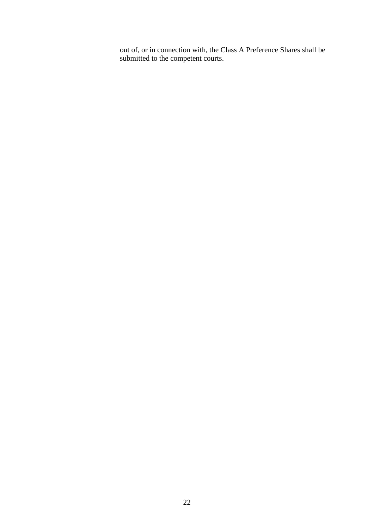out of, or in connection with, the Class A Preference Shares shall be submitted to the competent courts.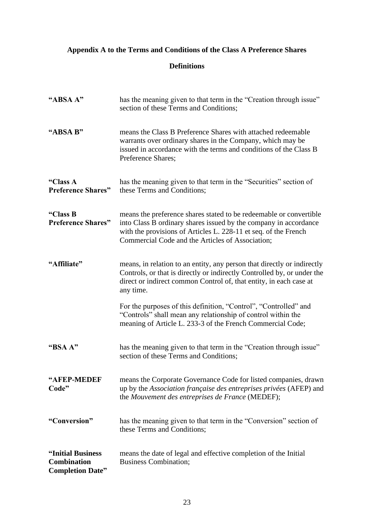# **Appendix A to the Terms and Conditions of the Class A Preference Shares**

# **Definitions**

| "ABSA A"                                                           | has the meaning given to that term in the "Creation through issue"<br>section of these Terms and Conditions;                                                                                                                                                  |
|--------------------------------------------------------------------|---------------------------------------------------------------------------------------------------------------------------------------------------------------------------------------------------------------------------------------------------------------|
| "ABSA B"                                                           | means the Class B Preference Shares with attached redeemable<br>warrants over ordinary shares in the Company, which may be<br>issued in accordance with the terms and conditions of the Class B<br>Preference Shares;                                         |
| "Class A<br><b>Preference Shares"</b>                              | has the meaning given to that term in the "Securities" section of<br>these Terms and Conditions;                                                                                                                                                              |
| "Class B<br><b>Preference Shares"</b>                              | means the preference shares stated to be redeemable or convertible<br>into Class B ordinary shares issued by the company in accordance<br>with the provisions of Articles L. 228-11 et seq. of the French<br>Commercial Code and the Articles of Association; |
| "Affiliate"                                                        | means, in relation to an entity, any person that directly or indirectly<br>Controls, or that is directly or indirectly Controlled by, or under the<br>direct or indirect common Control of, that entity, in each case at<br>any time.                         |
|                                                                    | For the purposes of this definition, "Control", "Controlled" and<br>"Controls" shall mean any relationship of control within the<br>meaning of Article L. 233-3 of the French Commercial Code;                                                                |
| "BSA A"                                                            | has the meaning given to that term in the "Creation through issue"<br>section of these Terms and Conditions;                                                                                                                                                  |
| "AFEP-MEDEF<br>Code"                                               | means the Corporate Governance Code for listed companies, drawn<br>up by the Association française des entreprises privées (AFEP) and<br>the Mouvement des entreprises de France (MEDEF);                                                                     |
| "Conversion"                                                       | has the meaning given to that term in the "Conversion" section of<br>these Terms and Conditions;                                                                                                                                                              |
| "Initial Business<br><b>Combination</b><br><b>Completion Date"</b> | means the date of legal and effective completion of the Initial<br><b>Business Combination;</b>                                                                                                                                                               |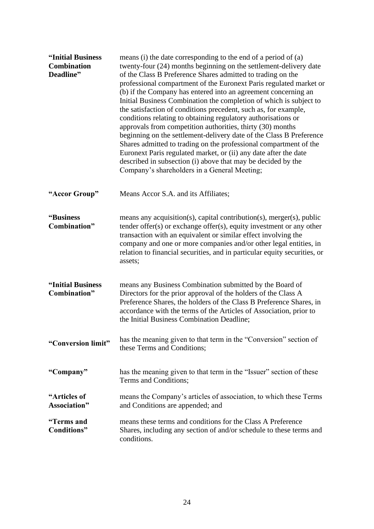| "Initial Business<br><b>Combination</b><br>Deadline" | means (i) the date corresponding to the end of a period of (a)<br>twenty-four (24) months beginning on the settlement-delivery date<br>of the Class B Preference Shares admitted to trading on the<br>professional compartment of the Euronext Paris regulated market or<br>(b) if the Company has entered into an agreement concerning an<br>Initial Business Combination the completion of which is subject to<br>the satisfaction of conditions precedent, such as, for example,<br>conditions relating to obtaining regulatory authorisations or<br>approvals from competition authorities, thirty (30) months<br>beginning on the settlement-delivery date of the Class B Preference<br>Shares admitted to trading on the professional compartment of the<br>Euronext Paris regulated market, or (ii) any date after the date<br>described in subsection (i) above that may be decided by the<br>Company's shareholders in a General Meeting; |
|------------------------------------------------------|----------------------------------------------------------------------------------------------------------------------------------------------------------------------------------------------------------------------------------------------------------------------------------------------------------------------------------------------------------------------------------------------------------------------------------------------------------------------------------------------------------------------------------------------------------------------------------------------------------------------------------------------------------------------------------------------------------------------------------------------------------------------------------------------------------------------------------------------------------------------------------------------------------------------------------------------------|
| "Accor Group"                                        | Means Accor S.A. and its Affiliates;                                                                                                                                                                                                                                                                                                                                                                                                                                                                                                                                                                                                                                                                                                                                                                                                                                                                                                               |
| "Business"<br>Combination"                           | means any acquisition(s), capital contribution(s), merger(s), public<br>tender offer $(s)$ or exchange offer $(s)$ , equity investment or any other<br>transaction with an equivalent or similar effect involving the<br>company and one or more companies and/or other legal entities, in<br>relation to financial securities, and in particular equity securities, or<br>assets;                                                                                                                                                                                                                                                                                                                                                                                                                                                                                                                                                                 |
| "Initial Business<br>Combination"                    | means any Business Combination submitted by the Board of<br>Directors for the prior approval of the holders of the Class A<br>Preference Shares, the holders of the Class B Preference Shares, in<br>accordance with the terms of the Articles of Association, prior to<br>the Initial Business Combination Deadline;                                                                                                                                                                                                                                                                                                                                                                                                                                                                                                                                                                                                                              |
| "Conversion limit"                                   | has the meaning given to that term in the "Conversion" section of<br>these Terms and Conditions;                                                                                                                                                                                                                                                                                                                                                                                                                                                                                                                                                                                                                                                                                                                                                                                                                                                   |
| "Company"                                            | has the meaning given to that term in the "Issuer" section of these<br>Terms and Conditions;                                                                                                                                                                                                                                                                                                                                                                                                                                                                                                                                                                                                                                                                                                                                                                                                                                                       |
| "Articles of<br>Association"                         | means the Company's articles of association, to which these Terms<br>and Conditions are appended; and                                                                                                                                                                                                                                                                                                                                                                                                                                                                                                                                                                                                                                                                                                                                                                                                                                              |
| "Terms and<br>Conditions"                            | means these terms and conditions for the Class A Preference<br>Shares, including any section of and/or schedule to these terms and<br>conditions.                                                                                                                                                                                                                                                                                                                                                                                                                                                                                                                                                                                                                                                                                                                                                                                                  |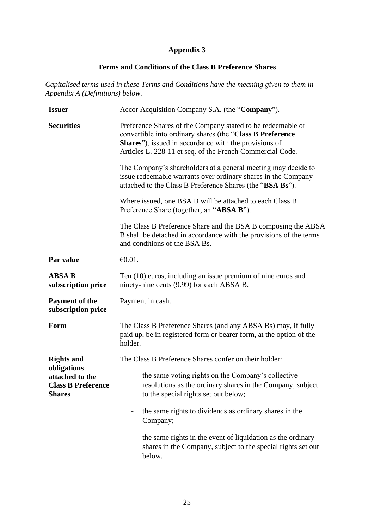# **Appendix 3**

# **Terms and Conditions of the Class B Preference Shares**

*Capitalised terms used in these Terms and Conditions have the meaning given to them in Appendix A (Definitions) below.*

| <b>Issuer</b>                                                                | Accor Acquisition Company S.A. (the "Company").                                                                                                                                                                                                        |
|------------------------------------------------------------------------------|--------------------------------------------------------------------------------------------------------------------------------------------------------------------------------------------------------------------------------------------------------|
| <b>Securities</b>                                                            | Preference Shares of the Company stated to be redeemable or<br>convertible into ordinary shares (the "Class B Preference<br><b>Shares</b> "), issued in accordance with the provisions of<br>Articles L. 228-11 et seq. of the French Commercial Code. |
|                                                                              | The Company's shareholders at a general meeting may decide to<br>issue redeemable warrants over ordinary shares in the Company<br>attached to the Class B Preference Shares (the "BSA Bs").                                                            |
|                                                                              | Where issued, one BSA B will be attached to each Class B<br>Preference Share (together, an "ABSA B").                                                                                                                                                  |
|                                                                              | The Class B Preference Share and the BSA B composing the ABSA<br>B shall be detached in accordance with the provisions of the terms<br>and conditions of the BSA Bs.                                                                                   |
| Par value                                                                    | $\epsilon$ 0.01.                                                                                                                                                                                                                                       |
| <b>ABSA B</b><br>subscription price                                          | Ten (10) euros, including an issue premium of nine euros and<br>ninety-nine cents (9.99) for each ABSA B.                                                                                                                                              |
| <b>Payment of the</b><br>subscription price                                  | Payment in cash.                                                                                                                                                                                                                                       |
| Form                                                                         | The Class B Preference Shares (and any ABSA Bs) may, if fully<br>paid up, be in registered form or bearer form, at the option of the<br>holder.                                                                                                        |
| <b>Rights and</b>                                                            | The Class B Preference Shares confer on their holder:                                                                                                                                                                                                  |
| obligations<br>attached to the<br><b>Class B Preference</b><br><b>Shares</b> | the same voting rights on the Company's collective<br>resolutions as the ordinary shares in the Company, subject<br>to the special rights set out below;                                                                                               |
|                                                                              | the same rights to dividends as ordinary shares in the<br>Company;                                                                                                                                                                                     |
|                                                                              | the same rights in the event of liquidation as the ordinary<br>shares in the Company, subject to the special rights set out<br>below.                                                                                                                  |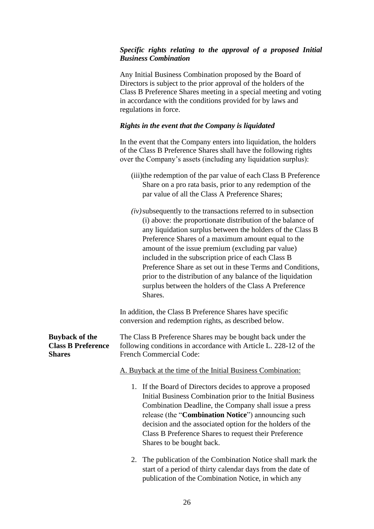#### *Specific rights relating to the approval of a proposed Initial Business Combination*

Any Initial Business Combination proposed by the Board of Directors is subject to the prior approval of the holders of the Class B Preference Shares meeting in a special meeting and voting in accordance with the conditions provided for by laws and regulations in force.

# *Rights in the event that the Company is liquidated*

In the event that the Company enters into liquidation, the holders of the Class B Preference Shares shall have the following rights over the Company's assets (including any liquidation surplus):

- (iii)the redemption of the par value of each Class B Preference Share on a pro rata basis, prior to any redemption of the par value of all the Class A Preference Shares;
- *(iv)*subsequently to the transactions referred to in subsection (i) above: the proportionate distribution of the balance of any liquidation surplus between the holders of the Class B Preference Shares of a maximum amount equal to the amount of the issue premium (excluding par value) included in the subscription price of each Class B Preference Share as set out in these Terms and Conditions, prior to the distribution of any balance of the liquidation surplus between the holders of the Class A Preference Shares.

In addition, the Class B Preference Shares have specific conversion and redemption rights, as described below.

**Buyback of the Class B Preference Shares** The Class B Preference Shares may be bought back under the following conditions in accordance with Article L. 228-12 of the French Commercial Code:

#### A. Buyback at the time of the Initial Business Combination:

- 1. If the Board of Directors decides to approve a proposed Initial Business Combination prior to the Initial Business Combination Deadline, the Company shall issue a press release (the "**Combination Notice**") announcing such decision and the associated option for the holders of the Class B Preference Shares to request their Preference Shares to be bought back.
- 2. The publication of the Combination Notice shall mark the start of a period of thirty calendar days from the date of publication of the Combination Notice, in which any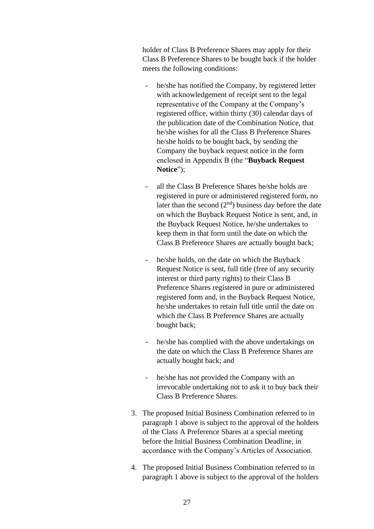holder of Class B Preference Shares may apply for their Class B Preference Shares to be bought back if the holder meets the following conditions:

- he/she has notified the Company, by registered letter with acknowledgement of receipt sent to the legal representative of the Company at the Company's registered office, within thirty (30) calendar days of the publication date of the Combination Notice, that he/she wishes for all the Class B Preference Shares he/she holds to be bought back, by sending the Company the buyback request notice in the form enclosed in Appendix B (the "**Buyback Request Notice**");
- all the Class B Preference Shares he/she holds are registered in pure or administered registered form, no later than the second  $(2<sup>nd</sup>)$  business day before the date on which the Buyback Request Notice is sent, and, in the Buyback Request Notice, he/she undertakes to keep them in that form until the date on which the Class B Preference Shares are actually bought back;
- he/she holds, on the date on which the Buyback Request Notice is sent, full title (free of any security interest or third party rights) to their Class B Preference Shares registered in pure or administered registered form and, in the Buyback Request Notice, he/she undertakes to retain full title until the date on which the Class B Preference Shares are actually bought back;
- he/she has complied with the above undertakings on the date on which the Class B Preference Shares are actually bought back; and
- he/she has not provided the Company with an irrevocable undertaking not to ask it to buy back their Class B Preference Shares.
- 3. The proposed Initial Business Combination referred to in paragraph 1 above is subject to the approval of the holders of the Class A Preference Shares at a special meeting before the Initial Business Combination Deadline, in accordance with the Company's Articles of Association.
- 4. The proposed Initial Business Combination referred to in paragraph 1 above is subject to the approval of the holders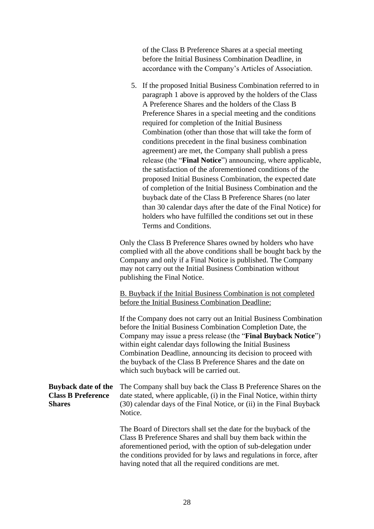of the Class B Preference Shares at a special meeting before the Initial Business Combination Deadline, in accordance with the Company's Articles of Association.

5. If the proposed Initial Business Combination referred to in paragraph 1 above is approved by the holders of the Class A Preference Shares and the holders of the Class B Preference Shares in a special meeting and the conditions required for completion of the Initial Business Combination (other than those that will take the form of conditions precedent in the final business combination agreement) are met, the Company shall publish a press release (the "**Final Notice**") announcing, where applicable, the satisfaction of the aforementioned conditions of the proposed Initial Business Combination, the expected date of completion of the Initial Business Combination and the buyback date of the Class B Preference Shares (no later than 30 calendar days after the date of the Final Notice) for holders who have fulfilled the conditions set out in these Terms and Conditions.

Only the Class B Preference Shares owned by holders who have complied with all the above conditions shall be bought back by the Company and only if a Final Notice is published. The Company may not carry out the Initial Business Combination without publishing the Final Notice.

B. Buyback if the Initial Business Combination is not completed before the Initial Business Combination Deadline:

If the Company does not carry out an Initial Business Combination before the Initial Business Combination Completion Date, the Company may issue a press release (the "**Final Buyback Notice**") within eight calendar days following the Initial Business Combination Deadline, announcing its decision to proceed with the buyback of the Class B Preference Shares and the date on which such buyback will be carried out.

#### **Buyback date of the Class B Preference Shares** The Company shall buy back the Class B Preference Shares on the date stated, where applicable, (i) in the Final Notice, within thirty (30) calendar days of the Final Notice, or (ii) in the Final Buyback Notice.

The Board of Directors shall set the date for the buyback of the Class B Preference Shares and shall buy them back within the aforementioned period, with the option of sub-delegation under the conditions provided for by laws and regulations in force, after having noted that all the required conditions are met.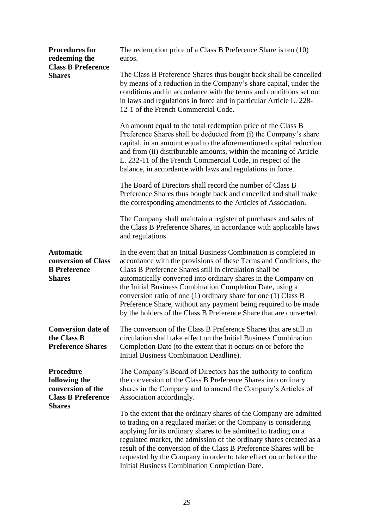| <b>Procedures for</b><br>redeeming the<br><b>Class B Preference</b><br><b>Shares</b>                 | The redemption price of a Class B Preference Share is ten (10)<br>euros.                                                                                                                                                                                                                                                                                                                                                                                                                                                                        |
|------------------------------------------------------------------------------------------------------|-------------------------------------------------------------------------------------------------------------------------------------------------------------------------------------------------------------------------------------------------------------------------------------------------------------------------------------------------------------------------------------------------------------------------------------------------------------------------------------------------------------------------------------------------|
|                                                                                                      | The Class B Preference Shares thus bought back shall be cancelled<br>by means of a reduction in the Company's share capital, under the<br>conditions and in accordance with the terms and conditions set out<br>in laws and regulations in force and in particular Article L. 228-<br>12-1 of the French Commercial Code.                                                                                                                                                                                                                       |
|                                                                                                      | An amount equal to the total redemption price of the Class B<br>Preference Shares shall be deducted from (i) the Company's share<br>capital, in an amount equal to the aforementioned capital reduction<br>and from (ii) distributable amounts, within the meaning of Article<br>L. 232-11 of the French Commercial Code, in respect of the<br>balance, in accordance with laws and regulations in force.                                                                                                                                       |
|                                                                                                      | The Board of Directors shall record the number of Class B<br>Preference Shares thus bought back and cancelled and shall make<br>the corresponding amendments to the Articles of Association.                                                                                                                                                                                                                                                                                                                                                    |
|                                                                                                      | The Company shall maintain a register of purchases and sales of<br>the Class B Preference Shares, in accordance with applicable laws<br>and regulations.                                                                                                                                                                                                                                                                                                                                                                                        |
| <b>Automatic</b><br>conversion of Class<br><b>B</b> Preference<br><b>Shares</b>                      | In the event that an Initial Business Combination is completed in<br>accordance with the provisions of these Terms and Conditions, the<br>Class B Preference Shares still in circulation shall be<br>automatically converted into ordinary shares in the Company on<br>the Initial Business Combination Completion Date, using a<br>conversion ratio of one $(1)$ ordinary share for one $(1)$ Class B<br>Preference Share, without any payment being required to be made<br>by the holders of the Class B Preference Share that are converted. |
| <b>Conversion date of</b><br>the Class B<br><b>Preference Shares</b>                                 | The conversion of the Class B Preference Shares that are still in<br>circulation shall take effect on the Initial Business Combination<br>Completion Date (to the extent that it occurs on or before the<br>Initial Business Combination Deadline).                                                                                                                                                                                                                                                                                             |
| <b>Procedure</b><br>following the<br>conversion of the<br><b>Class B Preference</b><br><b>Shares</b> | The Company's Board of Directors has the authority to confirm<br>the conversion of the Class B Preference Shares into ordinary<br>shares in the Company and to amend the Company's Articles of<br>Association accordingly.                                                                                                                                                                                                                                                                                                                      |
|                                                                                                      | To the extent that the ordinary shares of the Company are admitted<br>to trading on a regulated market or the Company is considering<br>applying for its ordinary shares to be admitted to trading on a<br>regulated market, the admission of the ordinary shares created as a<br>result of the conversion of the Class B Preference Shares will be<br>requested by the Company in order to take effect on or before the<br>Initial Business Combination Completion Date.                                                                       |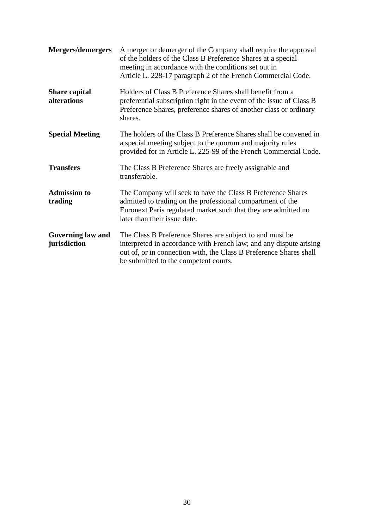| Mergers/demergers                        | A merger or demerger of the Company shall require the approval<br>of the holders of the Class B Preference Shares at a special<br>meeting in accordance with the conditions set out in<br>Article L. 228-17 paragraph 2 of the French Commercial Code. |
|------------------------------------------|--------------------------------------------------------------------------------------------------------------------------------------------------------------------------------------------------------------------------------------------------------|
| <b>Share capital</b><br>alterations      | Holders of Class B Preference Shares shall benefit from a<br>preferential subscription right in the event of the issue of Class B<br>Preference Shares, preference shares of another class or ordinary<br>shares.                                      |
| <b>Special Meeting</b>                   | The holders of the Class B Preference Shares shall be convened in<br>a special meeting subject to the quorum and majority rules<br>provided for in Article L. 225-99 of the French Commercial Code.                                                    |
| <b>Transfers</b>                         | The Class B Preference Shares are freely assignable and<br>transferable.                                                                                                                                                                               |
| <b>Admission to</b><br>trading           | The Company will seek to have the Class B Preference Shares<br>admitted to trading on the professional compartment of the<br>Euronext Paris regulated market such that they are admitted no<br>later than their issue date.                            |
| <b>Governing law and</b><br>jurisdiction | The Class B Preference Shares are subject to and must be<br>interpreted in accordance with French law; and any dispute arising<br>out of, or in connection with, the Class B Preference Shares shall<br>be submitted to the competent courts.          |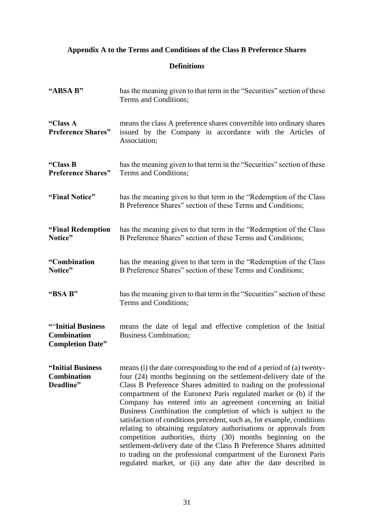# **Appendix A to the Terms and Conditions of the Class B Preference Shares**

# **Definitions**

| "ABSA B"                                                             | has the meaning given to that term in the "Securities" section of these<br>Terms and Conditions;                                                                                                                                                                                                                                                                                                                                                                                                                                                                                                                                                                                                                                                                                                                                                 |
|----------------------------------------------------------------------|--------------------------------------------------------------------------------------------------------------------------------------------------------------------------------------------------------------------------------------------------------------------------------------------------------------------------------------------------------------------------------------------------------------------------------------------------------------------------------------------------------------------------------------------------------------------------------------------------------------------------------------------------------------------------------------------------------------------------------------------------------------------------------------------------------------------------------------------------|
| "Class A<br><b>Preference Shares"</b>                                | means the class A preference shares convertible into ordinary shares<br>issued by the Company in accordance with the Articles of<br>Association;                                                                                                                                                                                                                                                                                                                                                                                                                                                                                                                                                                                                                                                                                                 |
| "Class B<br><b>Preference Shares"</b>                                | has the meaning given to that term in the "Securities" section of these<br>Terms and Conditions;                                                                                                                                                                                                                                                                                                                                                                                                                                                                                                                                                                                                                                                                                                                                                 |
| "Final Notice"                                                       | has the meaning given to that term in the "Redemption of the Class"<br>B Preference Shares" section of these Terms and Conditions;                                                                                                                                                                                                                                                                                                                                                                                                                                                                                                                                                                                                                                                                                                               |
| "Final Redemption<br>Notice"                                         | has the meaning given to that term in the "Redemption of the Class"<br>B Preference Shares" section of these Terms and Conditions;                                                                                                                                                                                                                                                                                                                                                                                                                                                                                                                                                                                                                                                                                                               |
| "Combination<br>Notice"                                              | has the meaning given to that term in the "Redemption of the Class"<br>B Preference Shares" section of these Terms and Conditions;                                                                                                                                                                                                                                                                                                                                                                                                                                                                                                                                                                                                                                                                                                               |
| "BSA B"                                                              | has the meaning given to that term in the "Securities" section of these<br>Terms and Conditions;                                                                                                                                                                                                                                                                                                                                                                                                                                                                                                                                                                                                                                                                                                                                                 |
| ""Initial Business"<br><b>Combination</b><br><b>Completion Date"</b> | means the date of legal and effective completion of the Initial<br><b>Business Combination;</b>                                                                                                                                                                                                                                                                                                                                                                                                                                                                                                                                                                                                                                                                                                                                                  |
| "Initial Business<br><b>Combination</b><br>Deadline"                 | means (i) the date corresponding to the end of a period of (a) twenty-<br>four (24) months beginning on the settlement-delivery date of the<br>Class B Preference Shares admitted to trading on the professional<br>compartment of the Euronext Paris regulated market or (b) if the<br>Company has entered into an agreement concerning an Initial<br>Business Combination the completion of which is subject to the<br>satisfaction of conditions precedent, such as, for example, conditions<br>relating to obtaining regulatory authorisations or approvals from<br>competition authorities, thirty (30) months beginning on the<br>settlement-delivery date of the Class B Preference Shares admitted<br>to trading on the professional compartment of the Euronext Paris<br>regulated market, or (ii) any date after the date described in |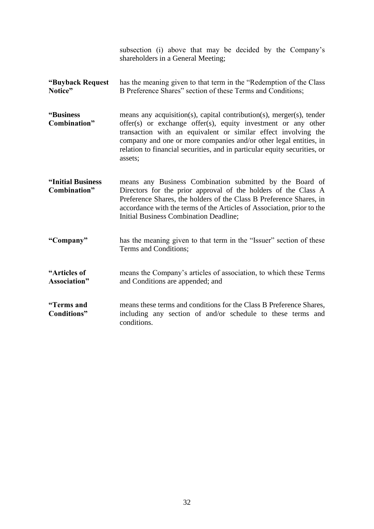|                                      | subsection (i) above that may be decided by the Company's<br>shareholders in a General Meeting;                                                                                                                                                                                                                                                                      |
|--------------------------------------|----------------------------------------------------------------------------------------------------------------------------------------------------------------------------------------------------------------------------------------------------------------------------------------------------------------------------------------------------------------------|
| "Buyback Request<br>Notice"          | has the meaning given to that term in the "Redemption of the Class"<br>B Preference Shares" section of these Terms and Conditions;                                                                                                                                                                                                                                   |
| "Business"<br>Combination"           | means any acquisition(s), capital contribution(s), merger(s), tender<br>offer(s) or exchange offer(s), equity investment or any other<br>transaction with an equivalent or similar effect involving the<br>company and one or more companies and/or other legal entities, in<br>relation to financial securities, and in particular equity securities, or<br>assets; |
| "Initial Business<br>Combination"    | means any Business Combination submitted by the Board of<br>Directors for the prior approval of the holders of the Class A<br>Preference Shares, the holders of the Class B Preference Shares, in<br>accordance with the terms of the Articles of Association, prior to the<br><b>Initial Business Combination Deadline;</b>                                         |
| "Company"                            | has the meaning given to that term in the "Issuer" section of these<br>Terms and Conditions;                                                                                                                                                                                                                                                                         |
| "Articles of<br><b>Association</b> " | means the Company's articles of association, to which these Terms<br>and Conditions are appended; and                                                                                                                                                                                                                                                                |
| "Terms and<br>Conditions"            | means these terms and conditions for the Class B Preference Shares,<br>including any section of and/or schedule to these terms and<br>conditions.                                                                                                                                                                                                                    |